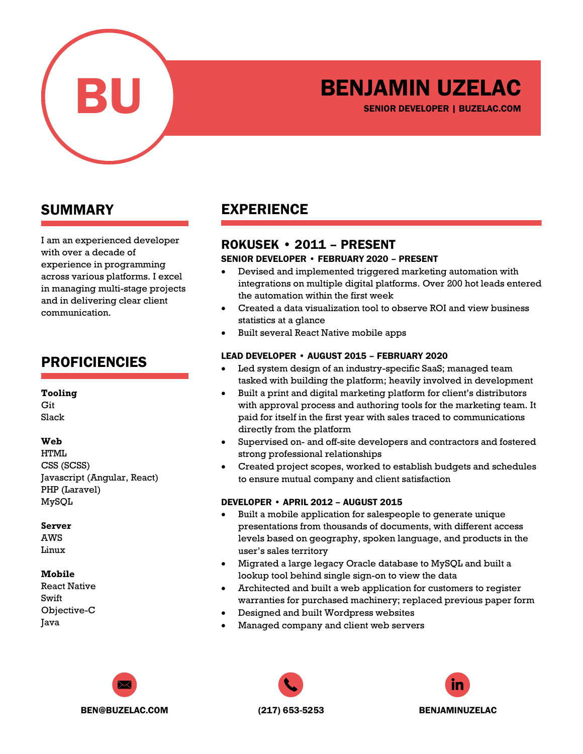

# BENJAMIN UZELAC

SENIOR DEVELOPER | BUZELAC.COM

### SUMMARY

I am an experienced developer with over a decade of experience in programming across various platforms. I excel in managing multi-stage projects and in delivering clear client communication.

### PROFICIENCIES

#### **Tooling**

Git Slack

#### **Web**

HTML CSS (SCSS) Javascript (Angular, React) PHP (Laravel) MySQL

#### **Server**

AWS Linux

#### **Mobile**

React Native Swift Objective-C Java

## EXPERIENCE

### ROKUSEK • 2011 – PRESENT

#### SENIOR DEVELOPER • FEBRUARY 2020 – PRESENT

- Devised and implemented triggered marketing automation with integrations on multiple digital platforms. Over 200 hot leads entered the automation within the first week
- Created a data visualization tool to observe ROI and view business statistics at a glance
- Built several React Native mobile apps

#### LEAD DEVELOPER • AUGUST 2015 – FEBRUARY 2020

- Led system design of an industry-specific SaaS; managed team tasked with building the platform; heavily involved in development
- Built a print and digital marketing platform for client's distributors with approval process and authoring tools for the marketing team. It paid for itself in the first year with sales traced to communications directly from the platform
- Supervised on- and off-site developers and contractors and fostered strong professional relationships
- Created project scopes, worked to establish budgets and schedules to ensure mutual company and client satisfaction

#### DEVELOPER • APRIL 2012 – AUGUST 2015

- Built a mobile application for salespeople to generate unique presentations from thousands of documents, with different access levels based on geography, spoken language, and products in the user's sales territory
- Migrated a large legacy Oracle database to MySQL and built a lookup tool behind single sign-on to view the data
- Architected and built a web application for customers to register warranties for purchased machinery; replaced previous paper form
- Designed and built Wordpress websites
- Managed company and client web servers